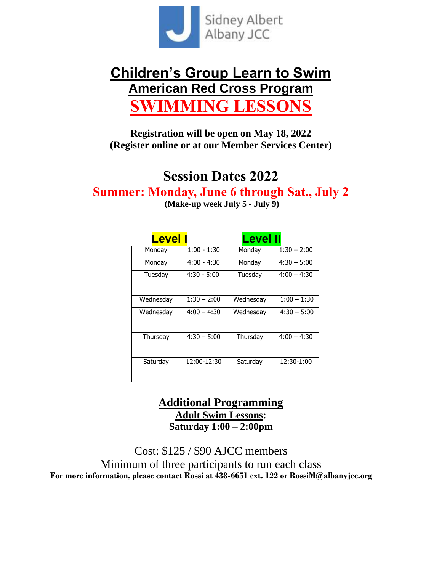

# **Children's Group Learn to Swim American Red Cross Program WIMMING LESSON**

**Registration will be open on May 18, 2022 (Register online or at our Member Services Center)**

## **Session Dates 2022**

**Summer: Monday, June 6 through Sat., July 2**

| <b>Level I</b> |               | <b>Level II</b> |               |
|----------------|---------------|-----------------|---------------|
| Monday         | $1:00 - 1:30$ | Monday          | $1:30 - 2:00$ |
| Monday         | $4:00 - 4:30$ | Monday          | $4:30 - 5:00$ |
| Tuesday        | $4:30 - 5:00$ | Tuesday         | $4:00 - 4:30$ |
|                |               |                 |               |
| Wednesday      | $1:30 - 2:00$ | Wednesday       | $1:00 - 1:30$ |
| Wednesday      | $4:00 - 4:30$ | Wednesday       | $4:30 - 5:00$ |
|                |               |                 |               |
| Thursday       | $4:30 - 5:00$ | Thursday        | $4:00 - 4:30$ |
|                |               |                 |               |
| Saturday       | 12:00-12:30   | Saturday        | 12:30-1:00    |
|                |               |                 |               |

**(Make-up week July 5 - July 9)**

### **Additional Programming Adult Swim Lessons: Saturday 1:00 – 2:00pm**

Cost: \$125 / \$90 AJCC members Minimum of three participants to run each class **For more information, please contact Rossi at 438-6651 ext. 122 or RossiM@albanyjcc.org**